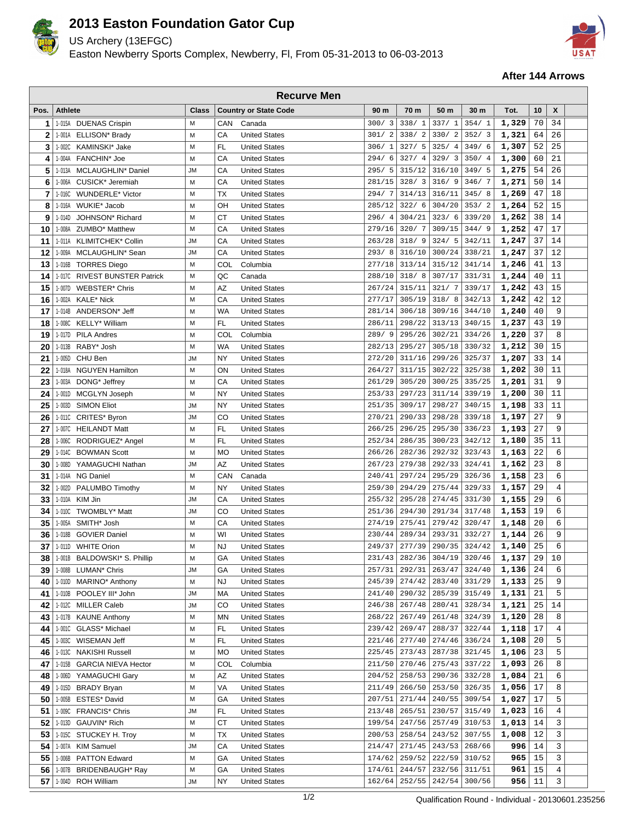

## **2013 Easton Foundation Gator Cup**

US Archery (13EFGC)

Easton Newberry Sports Complex, Newberry, Fl, From 05-31-2013 to 06-03-2013



## **After 144 Arrows**

| <b>Recurve Men</b> |                                               |                |            |                                              |                  |                  |                  |                  |                |          |        |  |
|--------------------|-----------------------------------------------|----------------|------------|----------------------------------------------|------------------|------------------|------------------|------------------|----------------|----------|--------|--|
| Pos.               | <b>Athlete</b>                                | <b>Class</b>   |            | <b>Country or State Code</b>                 | 90 m             | 70 m             | 50 m             | 30 m             | Tot.           | 10       | X      |  |
| 1                  | 1-015A DUENAS Crispin                         | м              | CAN        | Canada                                       | 300/3            | 338/1            | 337/1            | 354/1            | 1,329          | 70       | 34     |  |
| 2                  | 1-001A<br>ELLISON* Brady                      | M              | CA         | <b>United States</b>                         | 301/2            | 338/2            | 330/2            | 352/3            | 1,321          | 64       | 26     |  |
| 3                  | KAMINSKI* Jake<br>1-002C                      | М              | FL         | <b>United States</b>                         | 306/1            | 327/5            | 325/4            | 349/6            | 1,307          | 52       | 25     |  |
| 4                  | 1-004A FANCHIN* Joe                           | М              | CA         | <b>United States</b>                         | 294/ 6           | 327/4            | 329/3            | 350/4            | 1,300          | 60       | 21     |  |
| 5                  | MCLAUGHLIN* Daniel<br>1-013A                  | <b>JM</b>      | CA         | <b>United States</b>                         | 295/5            | 315/12           | 316/10           | 349/5            | 1,275          | 54       | 26     |  |
| 6                  | 1-006A<br>CUSICK* Jeremiah                    | M              | CA         | <b>United States</b>                         | 281/15           | 328/3            | 316/9            | 346/7            | 1,271          | 50       | 14     |  |
| 7                  | 1-016C<br><b>WUNDERLE*</b> Victor             | M              | ТX         | <b>United States</b>                         | 294/7            | 314/13           | 316/11           | 345/8            | 1,269          | 47       | 18     |  |
| 8                  | WUKIE* Jacob<br>1-016A                        | м              | OH         | <b>United States</b>                         | 285/12           | 322/6            | 304/20           | 353/2            | 1,264          | 52       | 15     |  |
| 9                  | 1-014D<br>JOHNSON <sup>*</sup> Richard        | M              | СT         | <b>United States</b>                         | 296/4            | 304/21           | 323/6            | 339/20           | 1,262          | 38       | 14     |  |
| 10                 | ZUMBO* Matthew<br>1-008A                      | М              | CA         | <b>United States</b>                         | 279/16           | 320/7            | 309/15           | 344/9            | 1,252          | 47       | 17     |  |
| 11                 | 1-011A<br><b>KLIMITCHEK* Collin</b>           | <b>JM</b>      | CA         | <b>United States</b>                         | 263/28           | 318/9            | 324/5            | 342/11           | 1,247          | 37       | 14     |  |
| 12                 | 1-009A<br>MCLAUGHLIN* Sean                    | JМ             | CA         | <b>United States</b>                         | 293/8            | 316/10           | 300/24           | 338/21           | 1,247          | 37       | 12     |  |
| 13                 | 1-016B TORRES Diego                           | M              | COL        | Columbia                                     | 277/18           | 313/14           | 315/12           | 341/14           | 1,246          | 41       | 13     |  |
| 14                 | 1-017C RIVEST BUNSTER Patrick                 | М              | QC         | Canada                                       | 288/10           | 318/8            | 307/17           | 331/31           | 1,244          | 40       | 11     |  |
| 15                 | 1-007D<br><b>WEBSTER* Chris</b>               | М              | AZ         | <b>United States</b>                         | 267/24           | 315/11           | 321/7            | 339/17           | 1,242          | 43       | 15     |  |
| 16                 | 1-002A<br><b>KALE* Nick</b>                   | M              | CA         | <b>United States</b>                         | 277/17           | 305/19           | 318/8            | 342/13           | 1,242          | 42       | 12     |  |
| 17                 | ANDERSON* Jeff<br>1-014B                      | м              | WA         | <b>United States</b>                         | 281/14           | 306/18           | 309/16           | 344/10           | 1,240          | 40       | 9      |  |
| 18                 | KELLY* William<br>1-008C                      | M              | FL.        | <b>United States</b>                         | 286/11           | 298/22           | 313/13           | 340/15           | 1,237          | 43       | 19     |  |
| 19                 | 1-017D<br><b>PILA Andres</b>                  | М              | <b>COL</b> | Columbia                                     | 289/9            | 295/26           | 302/21           | 334/26           | 1,220          | 37       | 8      |  |
| 20                 | RABY* Josh<br>1-013B                          | M              | WA         | <b>United States</b>                         | 282/13           | 295/27           | 305/18           | 330/32           | 1,212          | 30       | 15     |  |
| 21                 | 1-005D<br>CHU Ben                             | <b>JM</b>      | NY         | <b>United States</b>                         | 272/20           | 311/16           | 299/26           | 325/37           | 1,207          | 33       | 14     |  |
| 22                 | 1-018A NGUYEN Hamilton                        | М              | ON         | <b>United States</b>                         | 264/27           | 311/15           | 302/22           | 325/38           | 1,202          | 30       | 11     |  |
| 23                 | 1-003A DONG* Jeffrey                          | М              | CA         | <b>United States</b>                         | 261/29           | 305/20           | 300/25           | 335/25           | 1,201          | 31       | 9      |  |
| 24                 | 1-001D<br>MCGLYN Joseph                       | м              | NY         | <b>United States</b>                         | 253/33           | 297/23           | 311/14           | 339/19           | 1,200          | 30       | 11     |  |
| 25                 | 1-003D<br><b>SIMON Eliot</b>                  | <b>JM</b>      | NY         | <b>United States</b>                         | 251/35           | 309/17           | 298/27           | 340/15           | 1,198          | 33       | 11     |  |
| 26                 | 1-011C<br>CRITES* Byron                       | <b>JM</b>      | CO         | <b>United States</b>                         | 270/21           | 290/33           | 298/28           | 339/18           | 1,197          | 27       | 9      |  |
| 27                 | <b>HEILANDT Matt</b><br>1-007C                | M              | FL         | <b>United States</b>                         | 266/25           | 296/25           | 295/30           | 336/23           | 1,193          | 27       | 9      |  |
| 28                 | 1-006C<br>RODRIGUEZ* Angel                    | M              | FL         | <b>United States</b>                         | 252/34           | 286/35           | 300/23           | 342/12           | 1,180          | 35       | 11     |  |
| 29                 | 1-014C BOWMAN Scott                           | M              | <b>MO</b>  | <b>United States</b>                         | 266/26           | 282/36           | 292/32           | 323/43           | 1,163          | 22       | 6      |  |
| 30                 | 1-008D<br>YAMAGUCHI Nathan                    | JМ             | AZ         | <b>United States</b>                         | 267/23           | 279/38           | 292/33           | 324/41           | 1,162          | 23       | 8      |  |
| 31                 | 1-014A NG Daniel                              | м              | CAN        | Canada                                       | 240/41           | 297/24           | 295/29           | 326/36           | 1,158          | 23       | 6      |  |
| 32                 | 1-002D<br>PALUMBO Timothy                     | M              | NY         | <b>United States</b>                         | 259/30           | 294/29           | 275/44           | 329/33           | 1,157          | 29       | 4      |  |
| 33                 | 1-010A<br>KIM Jin                             | JM             | CA         | <b>United States</b>                         | 255/32           | 295/28           | 274/45           | 331/30           | 1,155          | 29       | 6      |  |
| 34                 | TWOMBLY* Matt<br>1-010C<br>SMITH* Josh        | <b>JM</b><br>м | CO<br>CA   | <b>United States</b><br><b>United States</b> | 251/36<br>274/19 | 294/30<br>275/41 | 291/34<br>279/42 | 317/48<br>320/47 | 1,153          | 19<br>20 | 6<br>6 |  |
| 35                 | 1-005A<br><b>GOVIER Daniel</b>                | M              | WI         | <b>United States</b>                         | 230/44           | 289/34           | 293/31           | 332/27           | 1,148<br>1,144 | 26       | 9      |  |
| 36<br>37           | 1-018B<br>1-011D WHITE Orion                  | M              | <b>NJ</b>  | <b>United States</b>                         | 249/37           | 277/39           | 290/35           | 324/42           | 1,140          | 25       | 6      |  |
|                    | 1-001B BALDOWSKI* S. Phillip                  | М              |            | <b>United States</b>                         | 231/43           | 282/36           | 304/19           | 320/46           | 1,137          | 29       | 10     |  |
| 38                 |                                               | JM             | GА<br>GА   | <b>United States</b>                         | 257/31           | 292/31           | 263/47           | 324/40           |                | 24       | 6      |  |
| 39<br>40           | 1-008B LUMAN* Chris<br>1-010D MARINO* Anthony | М              | NJ         | <b>United States</b>                         | 245/39           | 274/42           | 283/40           | 331/29           | 1,136<br>1,133 | 25       | 9      |  |
| 41                 | 1-010B POOLEY III* John                       | <b>JM</b>      | MA         | <b>United States</b>                         | 241/40           | 290/32           | 285/39           | 315/49           | 1,131          | 21       | 5      |  |
| 42                 | 1-012C MILLER Caleb                           | JM             | CO         | <b>United States</b>                         | 246/38           | 267/48           | 280/41           | 328/34           | 1,121          | 25       | 14     |  |
| 43                 | 1-017B KAUNE Anthony                          | М              | <b>MN</b>  | <b>United States</b>                         | 268/22           | 267/49           | 261/48           | 324/39           | 1,120          | 28       | 8      |  |
| 44                 | 1-001C<br>GLASS* Michael                      | М              | FL         | <b>United States</b>                         | 239/42           | 269/47           | 288/37           | 322/44           | 1,118          | 17       | 4      |  |
| 45                 | WISEMAN Jeff<br>1-003C                        | М              | FL         | <b>United States</b>                         | 221/46           | 277/40           | 274/46           | 336/24           | 1,108          | 20       | 5      |  |
| 46                 | 1-013C<br><b>NAKISHI Russell</b>              | М              | MO         | <b>United States</b>                         | 225/45           | 273/43           | 287/38           | 321/45           | 1,106          | 23       | 5      |  |
| 47                 | 1-015B<br><b>GARCIA NIEVA Hector</b>          | М              | COL        | Columbia                                     | 211/50           | 270/46           | 275/43           | 337/22           | 1,093          | 26       | 8      |  |
| 48                 | YAMAGUCHI Gary<br>1-006D                      | М              | ΑZ         | <b>United States</b>                         | 204/52           | 258/53           | 290/36           | 332/28           | 1,084          | 21       | 6      |  |
| 49                 | 1-015D BRADY Bryan                            | М              | VA         | <b>United States</b>                         | 211/49           | 266/50           | 253/50           | 326/35           | 1,056          | 17       | 8      |  |
| 50                 | 1-005B ESTES* David                           | М              | GA         | <b>United States</b>                         | 207/51           | 271/44           | 240/55           | 309/54           | 1,027          | 17       | 5      |  |
| 51                 | 1-009C FRANCIS* Chris                         | JM             | FL         | <b>United States</b>                         | 213/48           | 265/51           | 230/57           | 315/49           | 1,023          | 16       | 4      |  |
| 52                 | 1-013D<br>GAUVIN <sup>*</sup> Rich            | М              | СT         | <b>United States</b>                         | 199/54           | 247/56           | 257/49           | 310/53           | 1,013          | 14       | 3      |  |
| 53                 | STUCKEY H. Troy<br>1-015C                     | М              | ТX         | <b>United States</b>                         | 200/53           | 258/54           | 243/52           | 307/55           | 1,008          | 12       | 3      |  |
| 54                 | 1-007A KIM Samuel                             | JМ             | СA         | <b>United States</b>                         | 214/47           | 271/45           | 243/53           | 268/66           | 996            | 14       | 3      |  |
| 55                 | 1-006B PATTON Edward                          | М              | GА         | <b>United States</b>                         | 174/62           | 259/52           | 222/59           | 310/52           | 965            | 15       | 3      |  |
| 56                 | 1-007B BRIDENBAUGH* Ray                       | М              | GА         | <b>United States</b>                         | 174/61           | 244/57           | 232/56           | 311/51           | 961            | 15       | 4      |  |
| 57                 | 1-004D ROH William                            | JM             | NY         | <b>United States</b>                         | 162/64           | 252/55           | 242/54           | 300/56           | 956            | 11       | 3      |  |